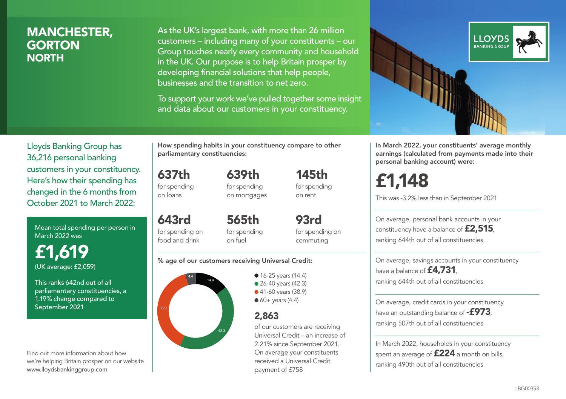### MANCHESTER, **GORTON NORTH**

As the UK's largest bank, with more than 26 million customers – including many of your constituents – our Group touches nearly every community and household in the UK. Our purpose is to help Britain prosper by developing financial solutions that help people, businesses and the transition to net zero.

To support your work we've pulled together some insight and data about our customers in your constituency.



In March 2022, your constituents' average monthly earnings (calculated from payments made into their personal banking account) were:

# £1,148

This was -3.2% less than in September 2021

On average, personal bank accounts in your constituency have a balance of £2,515, ranking 644th out of all constituencies

On average, savings accounts in your constituency have a balance of **£4,731** ranking 644th out of all constituencies

On average, credit cards in your constituency have an outstanding balance of  $-$ £973, ranking 507th out of all constituencies

In March 2022, households in your constituency spent an average of £224 a month on bills, ranking 490th out of all constituencies

Lloyds Banking Group has 36,216 personal banking customers in your constituency. Here's how their spending has changed in the 6 months from October 2021 to March 2022:

Mean total spending per person in March 2022 was

£1,619 (UK average: £2,059)

This ranks 642nd out of all parliamentary constituencies, a 1.19% change compared to September 2021

Find out more information about how we're helping Britain prosper on our website www.lloydsbankinggroup.com

How spending habits in your constituency compare to other parliamentary constituencies:

> 639th for spending

637th for spending on loans

on mortgages

643rd for spending on food and drink 565th for spending on fuel

for spending on commuting

145th for spending on rent

93rd

#### % age of our customers receiving Universal Credit:



• 16-25 years (14.4) • 26-40 years (42.3) ● 41-60 years (38.9)

 $60+$  years (4.4)

### 2,863

of our customers are receiving Universal Credit – an increase of 2.21% since September 2021. On average your constituents received a Universal Credit payment of £758